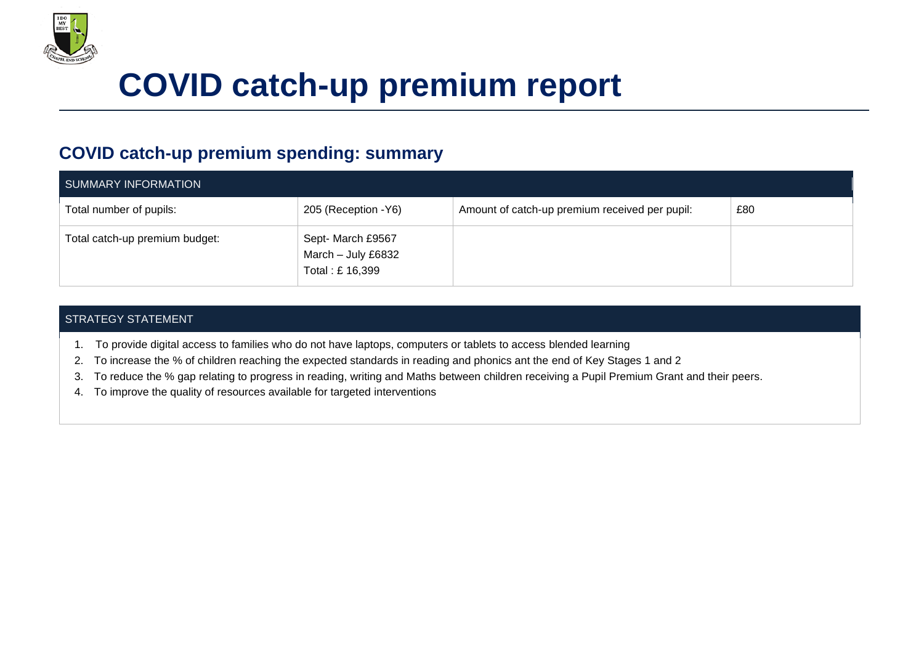

## **COVID catch-up premium report**

## **COVID catch-up premium spending: summary**

| SUMMARY INFORMATION            |                                                           |                                                |     |
|--------------------------------|-----------------------------------------------------------|------------------------------------------------|-----|
| Total number of pupils:        | 205 (Reception - Y6)                                      | Amount of catch-up premium received per pupil: | £80 |
| Total catch-up premium budget: | Sept- March £9567<br>March - July £6832<br>Total: £16,399 |                                                |     |

## STRATEGY STATEMENT

- 1. To provide digital access to families who do not have laptops, computers or tablets to access blended learning
- 2. To increase the % of children reaching the expected standards in reading and phonics ant the end of Key Stages 1 and 2
- 3. To reduce the % gap relating to progress in reading, writing and Maths between children receiving a Pupil Premium Grant and their peers.
- 4. To improve the quality of resources available for targeted interventions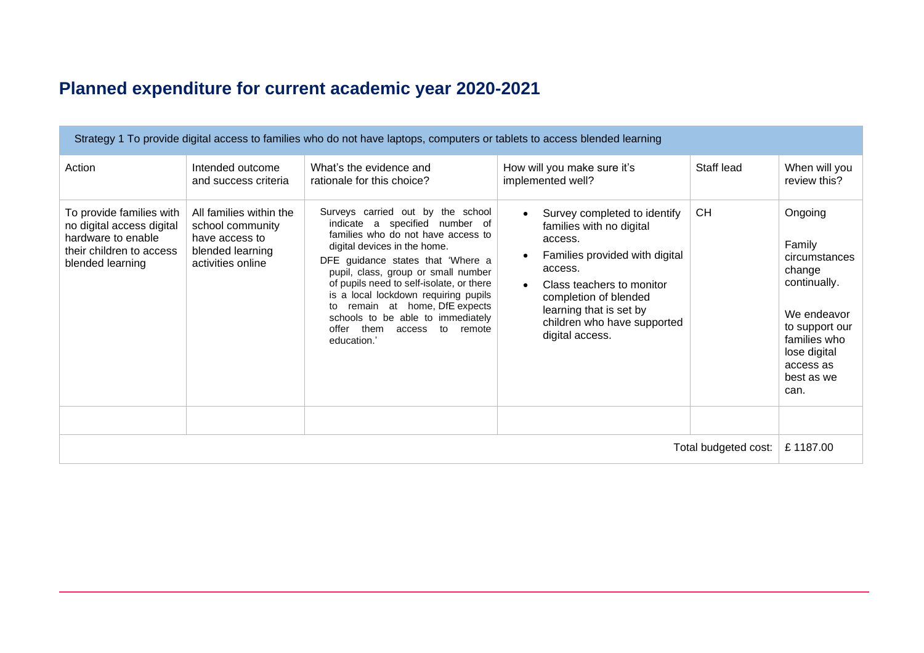## **Planned expenditure for current academic year 2020-2021**

| Strategy 1 To provide digital access to families who do not have laptops, computers or tablets to access blended learning   |                                                                                                        |                                                                                                                                                                                                                                                                                                                                                                                                                                         |                                                                                                                                                                                                                                                     |            |                                                                                                                                                                  |
|-----------------------------------------------------------------------------------------------------------------------------|--------------------------------------------------------------------------------------------------------|-----------------------------------------------------------------------------------------------------------------------------------------------------------------------------------------------------------------------------------------------------------------------------------------------------------------------------------------------------------------------------------------------------------------------------------------|-----------------------------------------------------------------------------------------------------------------------------------------------------------------------------------------------------------------------------------------------------|------------|------------------------------------------------------------------------------------------------------------------------------------------------------------------|
| Action                                                                                                                      | Intended outcome<br>and success criteria                                                               | What's the evidence and<br>rationale for this choice?                                                                                                                                                                                                                                                                                                                                                                                   | How will you make sure it's<br>implemented well?                                                                                                                                                                                                    | Staff lead | When will you<br>review this?                                                                                                                                    |
| To provide families with<br>no digital access digital<br>hardware to enable<br>their children to access<br>blended learning | All families within the<br>school community<br>have access to<br>blended learning<br>activities online | Surveys carried out by the school<br>indicate a specified number of<br>families who do not have access to<br>digital devices in the home.<br>DFE guidance states that 'Where a<br>pupil, class, group or small number<br>of pupils need to self-isolate, or there<br>is a local lockdown requiring pupils<br>remain at home, DfE expects<br>to<br>schools to be able to immediately<br>them access<br>offer<br>to remote<br>education.' | Survey completed to identify<br>families with no digital<br>access.<br>Families provided with digital<br>access.<br>Class teachers to monitor<br>completion of blended<br>learning that is set by<br>children who have supported<br>digital access. | <b>CH</b>  | Ongoing<br>Family<br>circumstances<br>change<br>continually.<br>We endeavor<br>to support our<br>families who<br>lose digital<br>access as<br>best as we<br>can. |
| Total budgeted cost:                                                                                                        |                                                                                                        |                                                                                                                                                                                                                                                                                                                                                                                                                                         |                                                                                                                                                                                                                                                     | £1187.00   |                                                                                                                                                                  |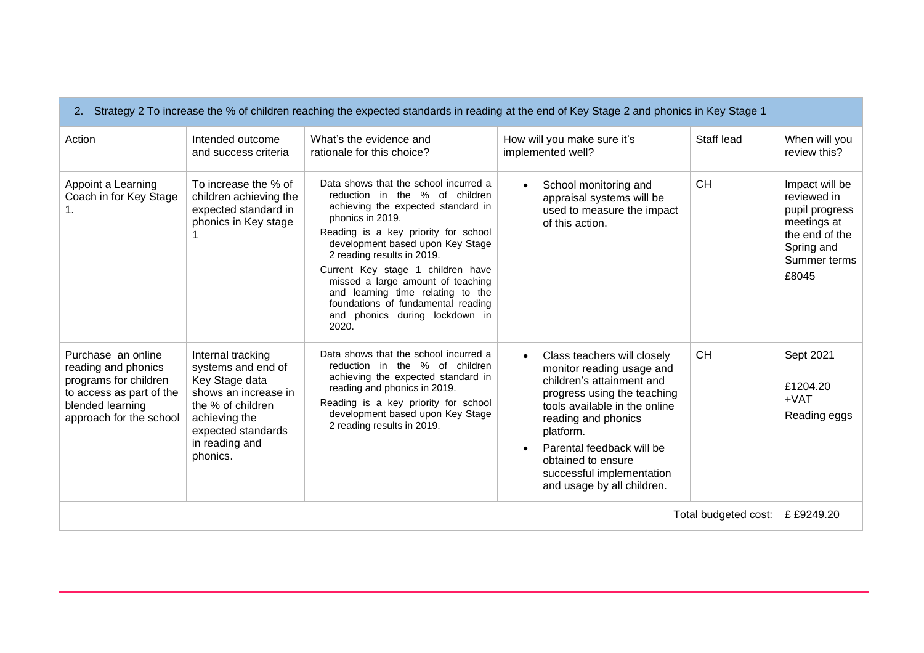| Strategy 2 To increase the % of children reaching the expected standards in reading at the end of Key Stage 2 and phonics in Key Stage 1      |                                                                                                                                                                             |                                                                                                                                                                                                                                                                                                                                                                                                                                             |                                                                                                                                                                                                                                                                                                                      |            |                                                                                                                         |
|-----------------------------------------------------------------------------------------------------------------------------------------------|-----------------------------------------------------------------------------------------------------------------------------------------------------------------------------|---------------------------------------------------------------------------------------------------------------------------------------------------------------------------------------------------------------------------------------------------------------------------------------------------------------------------------------------------------------------------------------------------------------------------------------------|----------------------------------------------------------------------------------------------------------------------------------------------------------------------------------------------------------------------------------------------------------------------------------------------------------------------|------------|-------------------------------------------------------------------------------------------------------------------------|
| Action                                                                                                                                        | Intended outcome<br>and success criteria                                                                                                                                    | What's the evidence and<br>rationale for this choice?                                                                                                                                                                                                                                                                                                                                                                                       | How will you make sure it's<br>implemented well?                                                                                                                                                                                                                                                                     | Staff lead | When will you<br>review this?                                                                                           |
| Appoint a Learning<br>Coach in for Key Stage<br>1.                                                                                            | To increase the % of<br>children achieving the<br>expected standard in<br>phonics in Key stage                                                                              | Data shows that the school incurred a<br>reduction in the % of children<br>achieving the expected standard in<br>phonics in 2019.<br>Reading is a key priority for school<br>development based upon Key Stage<br>2 reading results in 2019.<br>Current Key stage 1 children have<br>missed a large amount of teaching<br>and learning time relating to the<br>foundations of fundamental reading<br>and phonics during lockdown in<br>2020. | School monitoring and<br>$\bullet$<br>appraisal systems will be<br>used to measure the impact<br>of this action.                                                                                                                                                                                                     | <b>CH</b>  | Impact will be<br>reviewed in<br>pupil progress<br>meetings at<br>the end of the<br>Spring and<br>Summer terms<br>£8045 |
| Purchase an online<br>reading and phonics<br>programs for children<br>to access as part of the<br>blended learning<br>approach for the school | Internal tracking<br>systems and end of<br>Key Stage data<br>shows an increase in<br>the % of children<br>achieving the<br>expected standards<br>in reading and<br>phonics. | Data shows that the school incurred a<br>reduction in the % of children<br>achieving the expected standard in<br>reading and phonics in 2019.<br>Reading is a key priority for school<br>development based upon Key Stage<br>2 reading results in 2019.                                                                                                                                                                                     | Class teachers will closely<br>$\bullet$<br>monitor reading usage and<br>children's attainment and<br>progress using the teaching<br>tools available in the online<br>reading and phonics<br>platform.<br>Parental feedback will be<br>obtained to ensure<br>successful implementation<br>and usage by all children. | <b>CH</b>  | Sept 2021<br>£1204.20<br>$+VAT$<br>Reading eggs                                                                         |
| Total budgeted cost:                                                                                                                          |                                                                                                                                                                             |                                                                                                                                                                                                                                                                                                                                                                                                                                             |                                                                                                                                                                                                                                                                                                                      | £ £9249.20 |                                                                                                                         |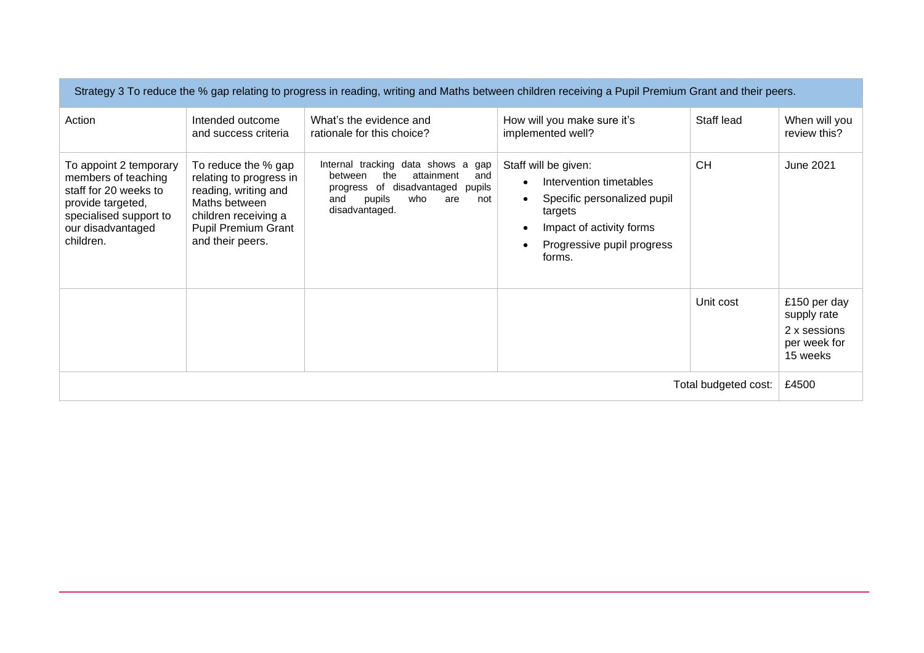| Strategy 3 To reduce the % gap relating to progress in reading, writing and Maths between children receiving a Pupil Premium Grant and their peers.     |                                                                                                                                                            |                                                                                                                                                                       |                                                                                                                                                                            |            |                                                                         |
|---------------------------------------------------------------------------------------------------------------------------------------------------------|------------------------------------------------------------------------------------------------------------------------------------------------------------|-----------------------------------------------------------------------------------------------------------------------------------------------------------------------|----------------------------------------------------------------------------------------------------------------------------------------------------------------------------|------------|-------------------------------------------------------------------------|
| Action                                                                                                                                                  | Intended outcome<br>and success criteria                                                                                                                   | What's the evidence and<br>rationale for this choice?                                                                                                                 | How will you make sure it's<br>implemented well?                                                                                                                           | Staff lead | When will you<br>review this?                                           |
| To appoint 2 temporary<br>members of teaching<br>staff for 20 weeks to<br>provide targeted,<br>specialised support to<br>our disadvantaged<br>children. | To reduce the % gap<br>relating to progress in<br>reading, writing and<br>Maths between<br>children receiving a<br>Pupil Premium Grant<br>and their peers. | Internal tracking data shows a gap<br>between<br>the<br>attainment<br>and<br>progress of disadvantaged pupils<br>who<br>pupils<br>and<br>are<br>not<br>disadvantaged. | Staff will be given:<br>Intervention timetables<br>$\bullet$<br>Specific personalized pupil<br>targets<br>Impact of activity forms<br>Progressive pupil progress<br>forms. | <b>CH</b>  | <b>June 2021</b>                                                        |
|                                                                                                                                                         |                                                                                                                                                            |                                                                                                                                                                       |                                                                                                                                                                            | Unit cost  | £150 per day<br>supply rate<br>2 x sessions<br>per week for<br>15 weeks |
| Total budgeted cost:                                                                                                                                    |                                                                                                                                                            |                                                                                                                                                                       |                                                                                                                                                                            | £4500      |                                                                         |